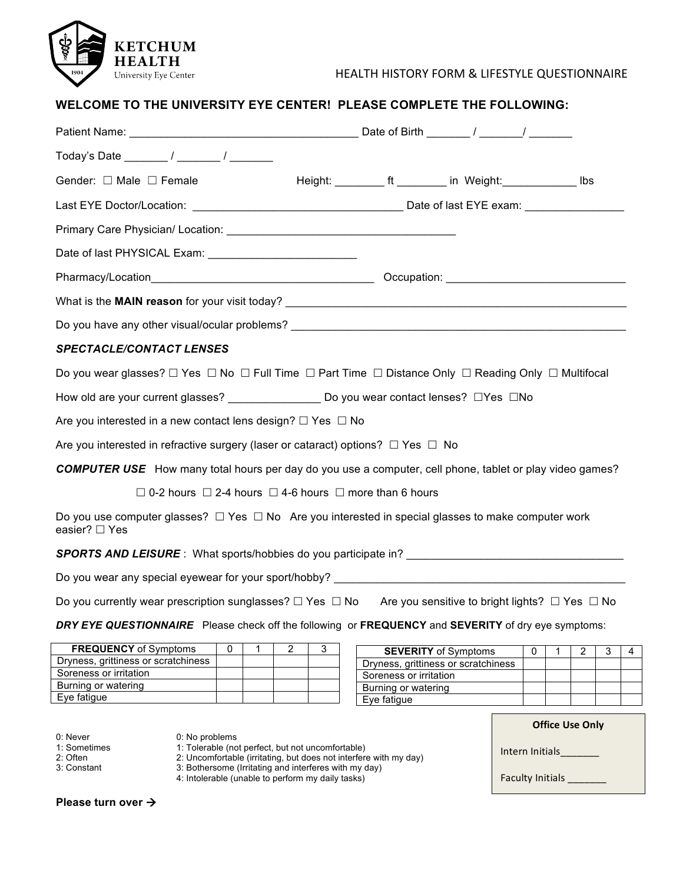

# HEALTH HISTORY FORM & LIFESTYLE QUESTIONNAIRE

# **WELCOME TO THE UNIVERSITY EYE CENTER! PLEASE COMPLETE THE FOLLOWING:**

| Gender: □ Male □ Female                                                                                                                |  | Height: __________ ft ________ in Weight: _____________ lbs |  |
|----------------------------------------------------------------------------------------------------------------------------------------|--|-------------------------------------------------------------|--|
|                                                                                                                                        |  |                                                             |  |
|                                                                                                                                        |  |                                                             |  |
|                                                                                                                                        |  |                                                             |  |
|                                                                                                                                        |  |                                                             |  |
|                                                                                                                                        |  |                                                             |  |
|                                                                                                                                        |  |                                                             |  |
| <b>SPECTACLE/CONTACT LENSES</b>                                                                                                        |  |                                                             |  |
| Do you wear glasses? $\Box$ Yes $\Box$ No $\Box$ Full Time $\Box$ Part Time $\Box$ Distance Only $\Box$ Reading Only $\Box$ Multifocal |  |                                                             |  |
| How old are your current glasses? ________________________Do you wear contact lenses? $\Box$ Yes $\Box$ No                             |  |                                                             |  |
| Are you interested in a new contact lens design? $\Box$ Yes $\Box$ No                                                                  |  |                                                             |  |
| Are you interested in refractive surgery (laser or cataract) options? $\Box$ Yes $\Box$ No                                             |  |                                                             |  |
| <b>COMPUTER USE</b> How many total hours per day do you use a computer, cell phone, tablet or play video games?                        |  |                                                             |  |
| $\Box$ 0-2 hours $\Box$ 2-4 hours $\Box$ 4-6 hours $\Box$ more than 6 hours                                                            |  |                                                             |  |
| Do you use computer glasses? $\Box$ Yes $\Box$ No Are you interested in special glasses to make computer work<br>easier? □ Yes         |  |                                                             |  |
| <b>SPORTS AND LEISURE</b> : What sports/hobbies do you participate in?                                                                 |  |                                                             |  |
|                                                                                                                                        |  |                                                             |  |
| Do you currently wear prescription sunglasses? $\Box$ Yes $\Box$ No Are you sensitive to bright lights? $\Box$ Yes $\Box$ No           |  |                                                             |  |

#### *DRY EYE QUESTIONNAIRE* Please check off the following or **FREQUENCY** and **SEVERITY** of dry eye symptoms:

| <b>FREQUENCY</b> of Symptoms        |  |  |
|-------------------------------------|--|--|
| Dryness, grittiness or scratchiness |  |  |
| Soreness or irritation              |  |  |
| Burning or watering                 |  |  |
| Eye fatigue                         |  |  |

| <b>SEVERITY</b> of Symptoms         |  |  |  |
|-------------------------------------|--|--|--|
| Dryness, grittiness or scratchiness |  |  |  |
| Soreness or irritation              |  |  |  |
| Burning or watering                 |  |  |  |
| Eye fatigue                         |  |  |  |

 $\mathcal{L}_{\text{max}}$ 

|                                                     |                                                                                                                                                                                                                                                        | <b>Office Use Only</b>                     |
|-----------------------------------------------------|--------------------------------------------------------------------------------------------------------------------------------------------------------------------------------------------------------------------------------------------------------|--------------------------------------------|
| 0: Never<br>1: Sometimes<br>2: Often<br>3: Constant | 0: No problems<br>1: Tolerable (not perfect, but not uncomfortable)<br>2: Uncomfortable (irritating, but does not interfere with my day)<br>3: Bothersome (Irritating and interferes with my day)<br>4: Intolerable (unable to perform my daily tasks) | Intern Initials<br><b>Faculty Initials</b> |
| Please turn over $\rightarrow$                      |                                                                                                                                                                                                                                                        |                                            |